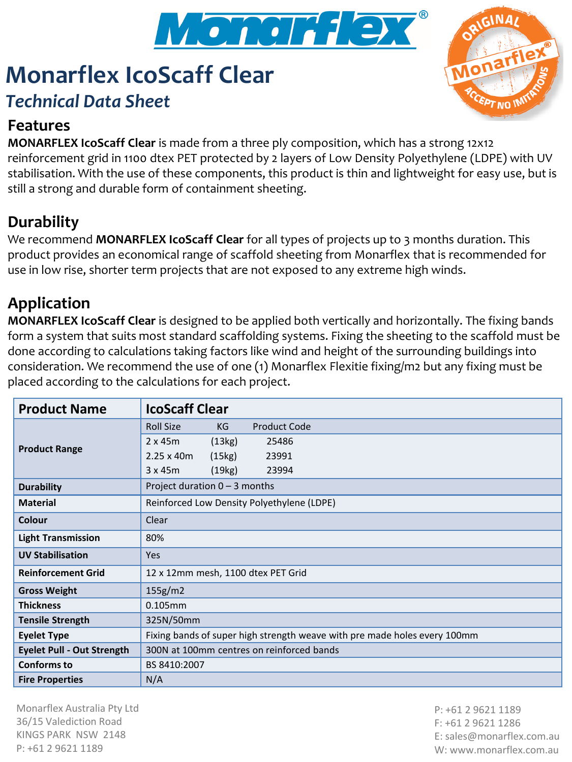

# **Monarflex IcoScaff Clear** *Technical Data Sheet*

## **Features**

**MONARFLEX IcoScaff Clear** is made from a three ply composition, which has a strong 12x12 reinforcement grid in 1100 dtex PET protected by 2 layers of Low Density Polyethylene (LDPE) with UV stabilisation. With the use of these components, this product is thin and lightweight for easy use, but is still a strong and durable form of containment sheeting.

## **Durability**

We recommend **MONARFLEX IcoScaff Clear** for all types of projects up to 3 months duration. This product provides an economical range of scaffold sheeting from Monarflex that is recommended for use in low rise, shorter term projects that are not exposed to any extreme high winds.

### **Application**

**MONARFLEX IcoScaff Clear** is designed to be applied both vertically and horizontally. The fixing bands form a system that suits most standard scaffolding systems. Fixing the sheeting to the scaffold must be done according to calculations taking factors like wind and height of the surrounding buildings into consideration. We recommend the use of one (1) Monarflex Flexitie fixing/m2 but any fixing must be placed according to the calculations for each project.

| <b>Product Name</b>               | <b>IcoScaff Clear</b>                                                     |
|-----------------------------------|---------------------------------------------------------------------------|
| <b>Product Range</b>              | <b>Roll Size</b><br><b>Product Code</b><br>KG                             |
|                                   | $2 \times 45m$<br>(13kg)<br>25486                                         |
|                                   | $2.25 \times 40m$<br>(15kg)<br>23991                                      |
|                                   | 3x45m<br>(19kg)<br>23994                                                  |
| <b>Durability</b>                 | Project duration $0 - 3$ months                                           |
| <b>Material</b>                   | Reinforced Low Density Polyethylene (LDPE)                                |
| Colour                            | Clear                                                                     |
| <b>Light Transmission</b>         | 80%                                                                       |
| <b>UV Stabilisation</b>           | <b>Yes</b>                                                                |
| <b>Reinforcement Grid</b>         | 12 x 12mm mesh, 1100 dtex PET Grid                                        |
| <b>Gross Weight</b>               | 155g/m2                                                                   |
| <b>Thickness</b>                  | $0.105$ mm                                                                |
| <b>Tensile Strength</b>           | 325N/50mm                                                                 |
| <b>Eyelet Type</b>                | Fixing bands of super high strength weave with pre made holes every 100mm |
| <b>Eyelet Pull - Out Strength</b> | 300N at 100mm centres on reinforced bands                                 |
| <b>Conforms to</b>                | BS 8410:2007                                                              |
| <b>Fire Properties</b>            | N/A                                                                       |

Monarflex Australia Pty Ltd 36/15 Valediction Road KINGS PARK NSW 2148 P: +61 2 9621 1189

P: +61 2 9621 1189 F: +61 2 9621 1286 E: sales@monarflex.com.au W: www.monarflex.com.au